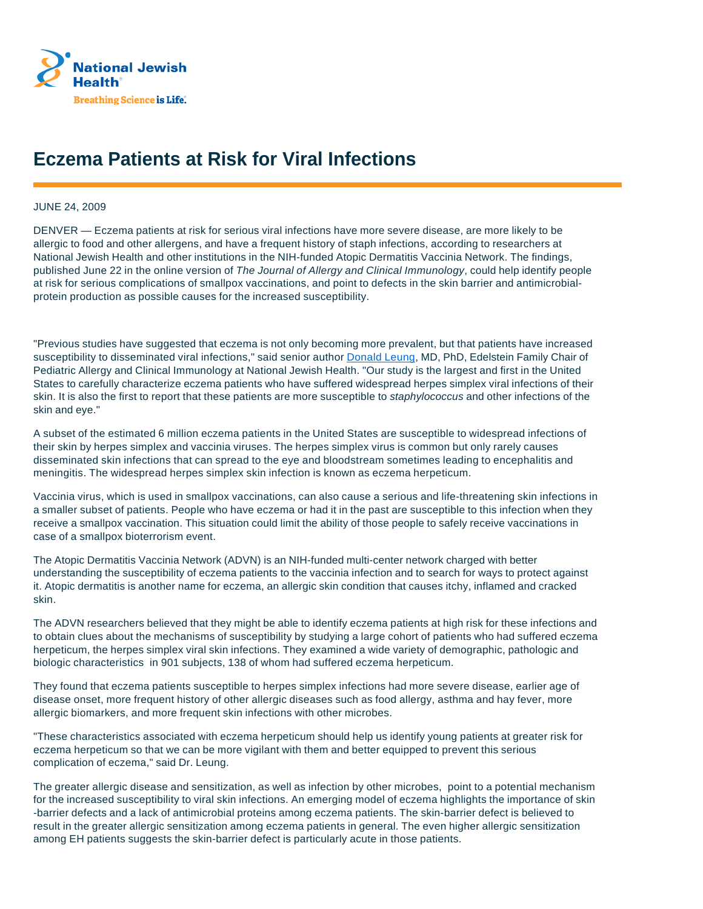

## **Eczema Patients at Risk for Viral Infections**

## JUNE 24, 2009

DENVER — Eczema patients at risk for serious viral infections have more severe disease, are more likely to be allergic to food and other allergens, and have a frequent history of staph infections, according to researchers at National Jewish Health and other institutions in the NIH-funded Atopic Dermatitis Vaccinia Network. The findings, published June 22 in the online version of The Journal of Allergy and Clinical Immunology, could help identify people at risk for serious complications of smallpox vaccinations, and point to defects in the skin barrier and antimicrobialprotein production as possible causes for the increased susceptibility.

"Previous studies have suggested that eczema is not only becoming more prevalent, but that patients have increased susceptibility to disseminated viral infections," said senior author Donald Leung, MD, PhD, Edelstein Family Chair of Pediatric Allergy and Clinical Immunology at National Jewish Health. "Our study is the largest and first in the United States to carefully characterize eczema patients who have suffered widespread herpes simplex viral infections of their skin. It is also the first to report that these patients are more susceptible to *staphylococcus* and other infections of the skin and eye."

A subset of the estimated 6 million eczema patients in the United States are susceptible to widespread infections of their skin by herpes simplex and vaccinia viruses. The herpes simplex virus is common but only rarely causes disseminated skin infections that can spread to the eye and bloodstream sometimes leading to encephalitis and meningitis. The widespread herpes simplex skin infection is known as eczema herpeticum.

Vaccinia virus, which is used in smallpox vaccinations, can also cause a serious and life-threatening skin infections in a smaller subset of patients. People who have eczema or had it in the past are susceptible to this infection when they receive a smallpox vaccination. This situation could limit the ability of those people to safely receive vaccinations in case of a smallpox bioterrorism event.

The Atopic Dermatitis Vaccinia Network (ADVN) is an NIH-funded multi-center network charged with better understanding the susceptibility of eczema patients to the vaccinia infection and to search for ways to protect against it. Atopic dermatitis is another name for eczema, an allergic skin condition that causes itchy, inflamed and cracked skin.

The ADVN researchers believed that they might be able to identify eczema patients at high risk for these infections and to obtain clues about the mechanisms of susceptibility by studying a large cohort of patients who had suffered eczema herpeticum, the herpes simplex viral skin infections. They examined a wide variety of demographic, pathologic and biologic characteristics in 901 subjects, 138 of whom had suffered eczema herpeticum.

They found that eczema patients susceptible to herpes simplex infections had more severe disease, earlier age of disease onset, more frequent history of other allergic diseases such as food allergy, asthma and hay fever, more allergic biomarkers, and more frequent skin infections with other microbes.

"These characteristics associated with eczema herpeticum should help us identify young patients at greater risk for eczema herpeticum so that we can be more vigilant with them and better equipped to prevent this serious complication of eczema," said Dr. Leung.

The greater allergic disease and sensitization, as well as infection by other microbes, point to a potential mechanism for the increased susceptibility to viral skin infections. An emerging model of eczema highlights the importance of skin -barrier defects and a lack of antimicrobial proteins among eczema patients. The skin-barrier defect is believed to result in the greater allergic sensitization among eczema patients in general. The even higher allergic sensitization among EH patients suggests the skin-barrier defect is particularly acute in those patients.